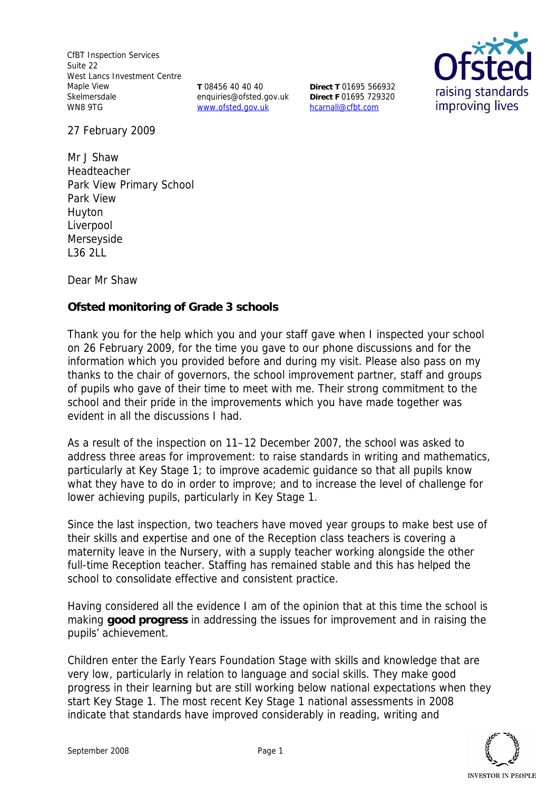CfBT Inspection Services Suite 22 West Lancs Investment Centre Maple View Skelmersdale WN8 9TG

**T** 08456 40 40 40 enquiries@ofsted.gov.uk www.ofsted.gov.uk

**Direct T** 01695 566932 **Direct F** 01695 729320 hcarnall@cfbt.com



27 February 2009

Mr J Shaw Headteacher Park View Primary School Park View Huyton Liverpool Merseyside L36 2LL

Dear Mr Shaw

**Ofsted monitoring of Grade 3 schools** 

Thank you for the help which you and your staff gave when I inspected your school on 26 February 2009, for the time you gave to our phone discussions and for the information which you provided before and during my visit. Please also pass on my thanks to the chair of governors, the school improvement partner, staff and groups of pupils who gave of their time to meet with me. Their strong commitment to the school and their pride in the improvements which you have made together was evident in all the discussions I had.

As a result of the inspection on 11–12 December 2007, the school was asked to address three areas for improvement: to raise standards in writing and mathematics, particularly at Key Stage 1; to improve academic guidance so that all pupils know what they have to do in order to improve; and to increase the level of challenge for lower achieving pupils, particularly in Key Stage 1.

Since the last inspection, two teachers have moved year groups to make best use of their skills and expertise and one of the Reception class teachers is covering a maternity leave in the Nursery, with a supply teacher working alongside the other full-time Reception teacher. Staffing has remained stable and this has helped the school to consolidate effective and consistent practice.

Having considered all the evidence I am of the opinion that at this time the school is making **good progress** in addressing the issues for improvement and in raising the pupils' achievement.

Children enter the Early Years Foundation Stage with skills and knowledge that are very low, particularly in relation to language and social skills. They make good progress in their learning but are still working below national expectations when they start Key Stage 1. The most recent Key Stage 1 national assessments in 2008 indicate that standards have improved considerably in reading, writing and

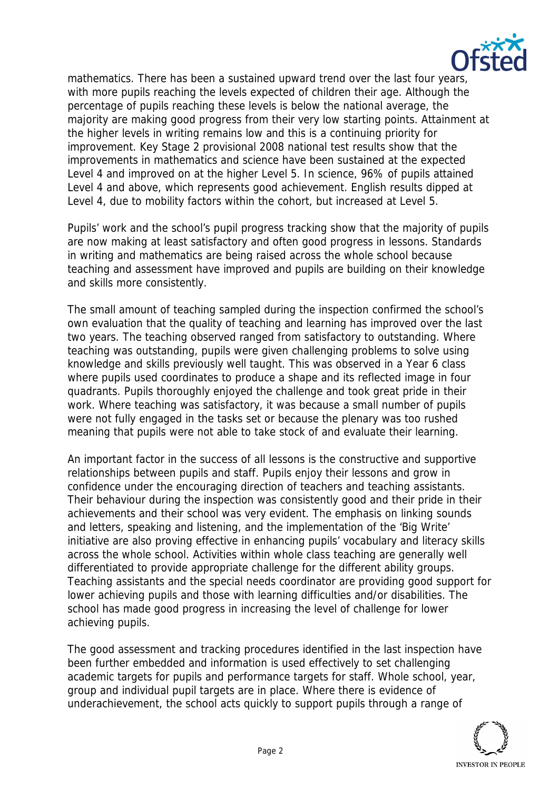

mathematics. There has been a sustained upward trend over the last four years, with more pupils reaching the levels expected of children their age. Although the percentage of pupils reaching these levels is below the national average, the majority are making good progress from their very low starting points. Attainment at the higher levels in writing remains low and this is a continuing priority for improvement. Key Stage 2 provisional 2008 national test results show that the improvements in mathematics and science have been sustained at the expected Level 4 and improved on at the higher Level 5. In science, 96% of pupils attained Level 4 and above, which represents good achievement. English results dipped at Level 4, due to mobility factors within the cohort, but increased at Level 5.

Pupils' work and the school's pupil progress tracking show that the majority of pupils are now making at least satisfactory and often good progress in lessons. Standards in writing and mathematics are being raised across the whole school because teaching and assessment have improved and pupils are building on their knowledge and skills more consistently.

The small amount of teaching sampled during the inspection confirmed the school's own evaluation that the quality of teaching and learning has improved over the last two years. The teaching observed ranged from satisfactory to outstanding. Where teaching was outstanding, pupils were given challenging problems to solve using knowledge and skills previously well taught. This was observed in a Year 6 class where pupils used coordinates to produce a shape and its reflected image in four quadrants. Pupils thoroughly enjoyed the challenge and took great pride in their work. Where teaching was satisfactory, it was because a small number of pupils were not fully engaged in the tasks set or because the plenary was too rushed meaning that pupils were not able to take stock of and evaluate their learning.

An important factor in the success of all lessons is the constructive and supportive relationships between pupils and staff. Pupils enjoy their lessons and grow in confidence under the encouraging direction of teachers and teaching assistants. Their behaviour during the inspection was consistently good and their pride in their achievements and their school was very evident. The emphasis on linking sounds and letters, speaking and listening, and the implementation of the 'Big Write' initiative are also proving effective in enhancing pupils' vocabulary and literacy skills across the whole school. Activities within whole class teaching are generally well differentiated to provide appropriate challenge for the different ability groups. Teaching assistants and the special needs coordinator are providing good support for lower achieving pupils and those with learning difficulties and/or disabilities. The school has made good progress in increasing the level of challenge for lower achieving pupils.

The good assessment and tracking procedures identified in the last inspection have been further embedded and information is used effectively to set challenging academic targets for pupils and performance targets for staff. Whole school, year, group and individual pupil targets are in place. Where there is evidence of underachievement, the school acts quickly to support pupils through a range of